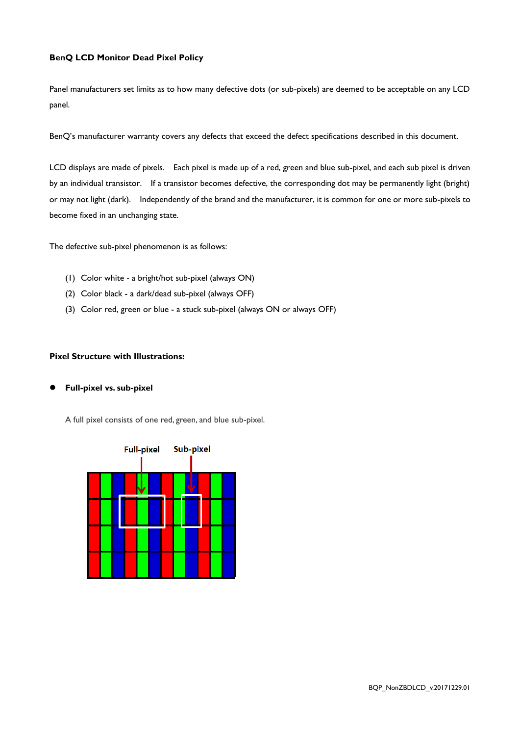#### **BenQ LCD Monitor Dead Pixel Policy**

Panel manufacturers set limits as to how many defective dots (or sub-pixels) are deemed to be acceptable on any LCD panel.

BenQ's manufacturer warranty covers any defects that exceed the defect specifications described in this document.

LCD displays are made of pixels. Each pixel is made up of a red, green and blue sub-pixel, and each sub pixel is driven by an individual transistor. If a transistor becomes defective, the corresponding dot may be permanently light (bright) or may not light (dark). Independently of the brand and the manufacturer, it is common for one or more sub-pixels to become fixed in an unchanging state.

The defective sub-pixel phenomenon is as follows:

- (1) Color white a bright/hot sub-pixel (always ON)
- (2) Color black a dark/dead sub-pixel (always OFF)
- (3) Color red, green or blue a stuck sub-pixel (always ON or always OFF)

### **Pixel Structure with Illustrations:**

# **Full-pixel vs. sub-pixel**

A full pixel consists of one red, green, and blue sub-pixel.

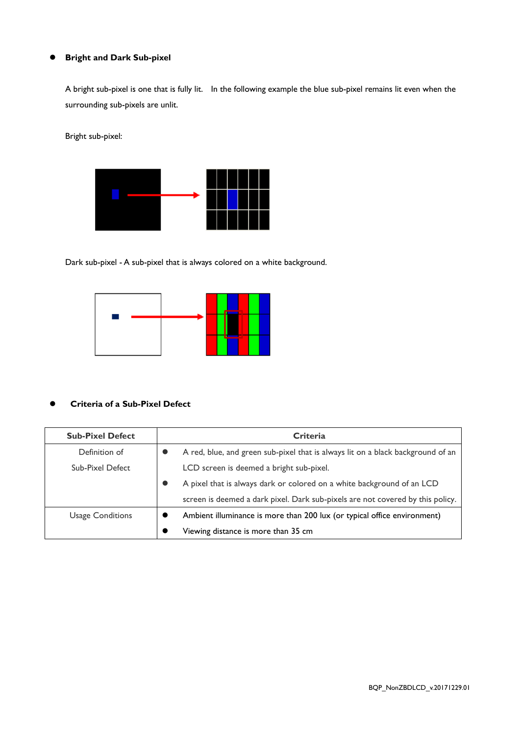# **Bright and Dark Sub-pixel**

A bright sub-pixel is one that is fully lit. In the following example the blue sub-pixel remains lit even when the surrounding sub-pixels are unlit.

Bright sub-pixel:



Dark sub-pixel - A sub-pixel that is always colored on a white background.



# **Criteria of a Sub-Pixel Defect**

| <b>Sub-Pixel Defect</b> | <b>Criteria</b> |                                                                                 |  |  |  |
|-------------------------|-----------------|---------------------------------------------------------------------------------|--|--|--|
| Definition of           |                 | A red, blue, and green sub-pixel that is always lit on a black background of an |  |  |  |
| Sub-Pixel Defect        |                 | LCD screen is deemed a bright sub-pixel.                                        |  |  |  |
|                         |                 | A pixel that is always dark or colored on a white background of an LCD          |  |  |  |
|                         |                 | screen is deemed a dark pixel. Dark sub-pixels are not covered by this policy.  |  |  |  |
| <b>Usage Conditions</b> |                 | Ambient illuminance is more than 200 lux (or typical office environment)        |  |  |  |
|                         |                 | Viewing distance is more than 35 cm                                             |  |  |  |